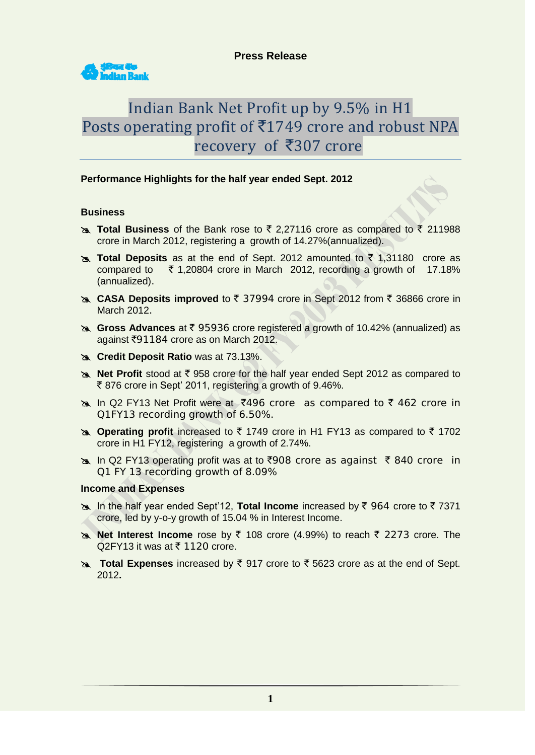

# Indian Bank Net Profit up by 9.5% in H1 Posts operating profit of  $\overline{5}1749$  crore and robust NPA recovery of ₹307 crore

# **Performance Highlights for the half year ended Sept. 2012**

# **Business**

- **Total Business** of the Bank rose to ₹ 2,27116 crore as compared to ₹ 211988 crore in March 2012, registering a growth of 14.27%(annualized).
- **Total Deposits** as at the end of Sept. 2012 amounted to ₹ 1,31180 crore as compared to  $\overline{5}$  1,20804 crore in March 2012, recording a growth of 17.18% (annualized).
- **EX CASA Deposits improved** to ₹ 37994 crore in Sept 2012 from ₹ 36866 crore in March 2012.
- **B.** Gross Advances at ₹ 95936 crore registered a growth of 10.42% (annualized) as against `91184 crore as on March 2012.
- **Credit Deposit Ratio** was at 73.13%.
- **Net Profit** stood at ₹ 958 crore for the half year ended Sept 2012 as compared to  $\bar{\tau}$  876 crore in Sept' 2011, registering a growth of 9.46%.
- be In Q2 FY13 Net Profit were at ₹496 crore as compared to ₹462 crore in Q1FY13 recording growth of 6.50%.
- **EX Operating profit** increased to ₹ 1749 crore in H1 FY13 as compared to ₹ 1702 crore in H1 FY12, registering a growth of 2.74%.
- $\approx$  In Q2 FY13 operating profit was at to  $\overline{5908}$  crore as against  $\overline{5840}$  crore in Q1 FY 13 recording growth of 8.09%

# **Income and Expenses**

- **EX** In the half year ended Sept'12, Total Income increased by ₹ 964 crore to ₹ 7371 crore, led by y-o-y growth of 15.04 % in Interest Income.
- **Net Interest Income** rose by ₹ 108 crore (4.99%) to reach ₹ 2273 crore. The  $Q2$ FY13 it was at  $\bar{\tau}$  1120 crore.
- **EXPEDIE:** and **Expenses** increased by ₹ 917 crore to ₹ 5623 crore as at the end of Sept. 2012**.**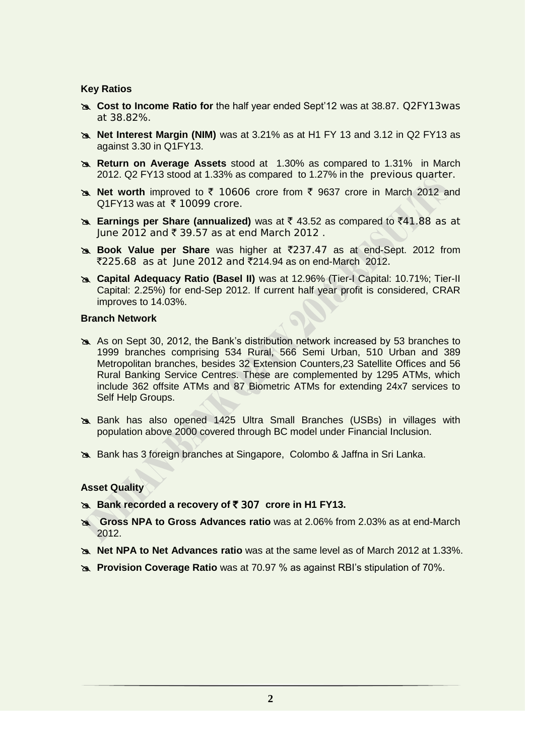## **Key Ratios**

- **Cost to Income Ratio for** the half year ended Sept'12 was at 38.87. Q2FY13was at 38.82%.
- **Net Interest Margin (NIM)** was at 3.21% as at H1 FY 13 and 3.12 in Q2 FY13 as against 3.30 in Q1FY13.
- **Return on Average Assets** stood at 1.30% as compared to 1.31% in March 2012. Q2 FY13 stood at 1.33% as compared to 1.27% in the previous quarter.
- **Net worth** improved to  $\bar{\tau}$  10606 crore from  $\bar{\tau}$  9637 crore in March 2012 and Q1FY13 was at  $\bar{\tau}$  10099 crore.
- **Earnings per Share (annualized)** was at ₹ 43.52 as compared to ₹41.88 as at  $|$ une 2012 and ₹ 39.57 as at end March 2012.
- **Book Value per Share** was higher at ₹237.47 as at end-Sept. 2012 from  $\overline{2225.68}$  as at June 2012 and  $\overline{2214.94}$  as on end-March 2012.
- **Capital Adequacy Ratio (Basel II)** was at 12.96% (Tier-I Capital: 10.71%; Tier-II Capital: 2.25%) for end-Sep 2012. If current half year profit is considered, CRAR improves to 14.03%.

# **Branch Network**

- As on Sept 30, 2012, the Bank's distribution network increased by 53 branches to 1999 branches comprising 534 Rural, 566 Semi Urban, 510 Urban and 389 Metropolitan branches, besides 32 Extension Counters,23 Satellite Offices and 56 Rural Banking Service Centres. These are complemented by 1295 ATMs, which include 362 offsite ATMs and 87 Biometric ATMs for extending 24x7 services to Self Help Groups.
- Bank has also opened 1425 Ultra Small Branches (USBs) in villages with population above 2000 covered through BC model under Financial Inclusion.
- Bank has 3 foreign branches at Singapore, Colombo & Jaffna in Sri Lanka.

## **Asset Quality**

- **Bank recorded a recovery of ₹ 307 crore in H1 FY13.**
- **Gross NPA to Gross Advances ratio** was at 2.06% from 2.03% as at end-March 2012.
- **Net NPA to Net Advances ratio** was at the same level as of March 2012 at 1.33%.
- **Provision Coverage Ratio** was at 70.97 % as against RBI's stipulation of 70%.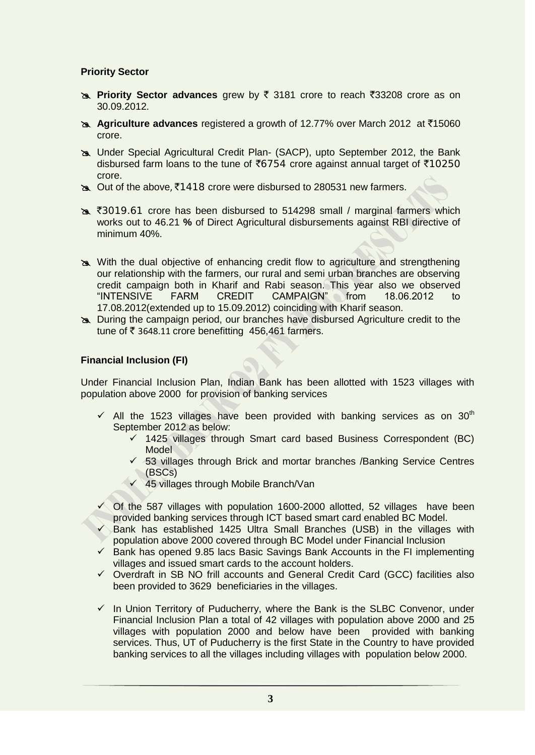# **Priority Sector**

- **EXALUATE:** Priority Sector advances grew by  $\bar{\xi}$  3181 crore to reach  $\bar{\xi}$ 33208 crore as on 30.09.2012.
- **Agriculture advances** registered a growth of 12.77% over March 2012 at ₹15060 crore.
- Under Special Agricultural Credit Plan- (SACP), upto September 2012, the Bank disbursed farm loans to the tune of  $\overline{6}754$  crore against annual target of  $\overline{6}10250$ crore.
- be Out of the above, ₹1418 crore were disbursed to 280531 new farmers.
- **3019.61** crore has been disbursed to 514298 small / marginal farmers which works out to 46.21 **%** of Direct Agricultural disbursements against RBI directive of minimum 40%.
- With the dual objective of enhancing credit flow to agriculture and strengthening our relationship with the farmers, our rural and semi urban branches are observing credit campaign both in Kharif and Rabi season. This year also we observed "INTENSIVE FARM CREDIT CAMPAIGN" from 18.06.2012 to 17.08.2012(extended up to 15.09.2012) coinciding with Kharif season.
- During the campaign period, our branches have disbursed Agriculture credit to the tune of  $\bar{\tau}$  3648.11 crore benefitting 456,461 farmers.

# **Financial Inclusion (FI)**

Under Financial Inclusion Plan, Indian Bank has been allotted with 1523 villages with population above 2000 for provision of banking services

- $\checkmark$  All the 1523 villages have been provided with banking services as on 30<sup>th</sup> September 2012 as below:
	- $\checkmark$  1425 villages through Smart card based Business Correspondent (BC) Model
	- $\checkmark$  53 villages through Brick and mortar branches /Banking Service Centres (BSCs)
	- $\checkmark$  45 villages through Mobile Branch/Van
- $\checkmark$  Of the 587 villages with population 1600-2000 allotted, 52 villages have been provided banking services through ICT based smart card enabled BC Model.
- $\checkmark$  Bank has established 1425 Ultra Small Branches (USB) in the villages with population above 2000 covered through BC Model under Financial Inclusion
- $\checkmark$  Bank has opened 9.85 lacs Basic Savings Bank Accounts in the FI implementing villages and issued smart cards to the account holders.
- $\checkmark$  Overdraft in SB NO frill accounts and General Credit Card (GCC) facilities also been provided to 3629 beneficiaries in the villages.
- $\checkmark$  In Union Territory of Puducherry, where the Bank is the SLBC Convenor, under Financial Inclusion Plan a total of 42 villages with population above 2000 and 25 villages with population 2000 and below have been provided with banking services. Thus, UT of Puducherry is the first State in the Country to have provided banking services to all the villages including villages with population below 2000.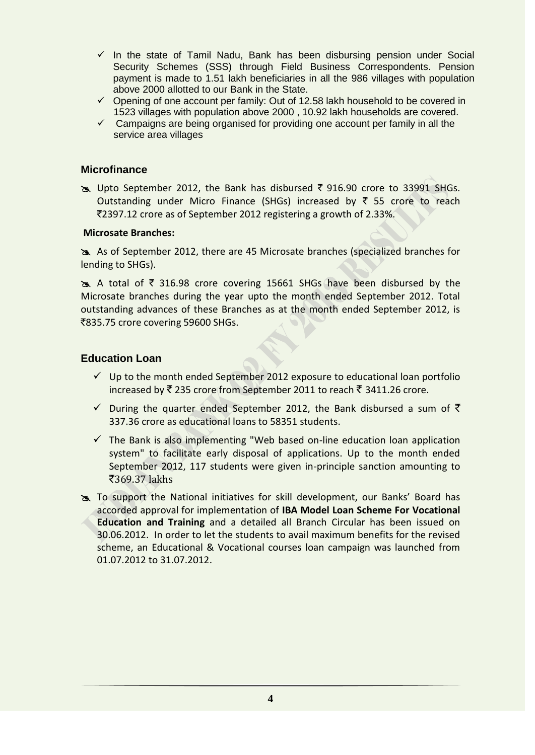- $\checkmark$  In the state of Tamil Nadu, Bank has been disbursing pension under Social Security Schemes (SSS) through Field Business Correspondents. Pension payment is made to 1.51 lakh beneficiaries in all the 986 villages with population above 2000 allotted to our Bank in the State.
- $\checkmark$  Opening of one account per family: Out of 12.58 lakh household to be covered in 1523 villages with population above 2000 , 10.92 lakh households are covered.
- $\checkmark$  Campaigns are being organised for providing one account per family in all the service area villages

# **Microfinance**

 $\geq$  Upto September 2012, the Bank has disbursed  $\bar{\tau}$  916.90 crore to 33991 SHGs. Outstanding under Micro Finance (SHGs) increased by  $\bar{\tau}$  55 crore to reach `2397.12 crore as of September 2012 registering a growth of 2.33%.

# **Microsate Branches:**

 As of September 2012, there are 45 Microsate branches (specialized branches for lending to SHGs).

 $\geq$  A total of  $\bar{\tau}$  316.98 crore covering 15661 SHGs have been disbursed by the Microsate branches during the year upto the month ended September 2012. Total outstanding advances of these Branches as at the month ended September 2012, is ₹835.75 crore covering 59600 SHGs.

# **Education Loan**

- $\checkmark$  Up to the month ended September 2012 exposure to educational loan portfolio increased by  $\bar{\xi}$  235 crore from September 2011 to reach  $\bar{\xi}$  3411.26 crore.
- $\checkmark$  During the quarter ended September 2012, the Bank disbursed a sum of  $\checkmark$ 337.36 crore as educational loans to 58351 students.
- $\checkmark$  The Bank is also implementing "Web based on-line education loan application system" to facilitate early disposal of applications. Up to the month ended September 2012, 117 students were given in-principle sanction amounting to  $\overline{3}369.37$  lakhs
- To support the National initiatives for skill development, our Banks' Board has accorded approval for implementation of **IBA Model Loan Scheme For Vocational Education and Training** and a detailed all Branch Circular has been issued on 30.06.2012. In order to let the students to avail maximum benefits for the revised scheme, an Educational & Vocational courses loan campaign was launched from 01.07.2012 to 31.07.2012.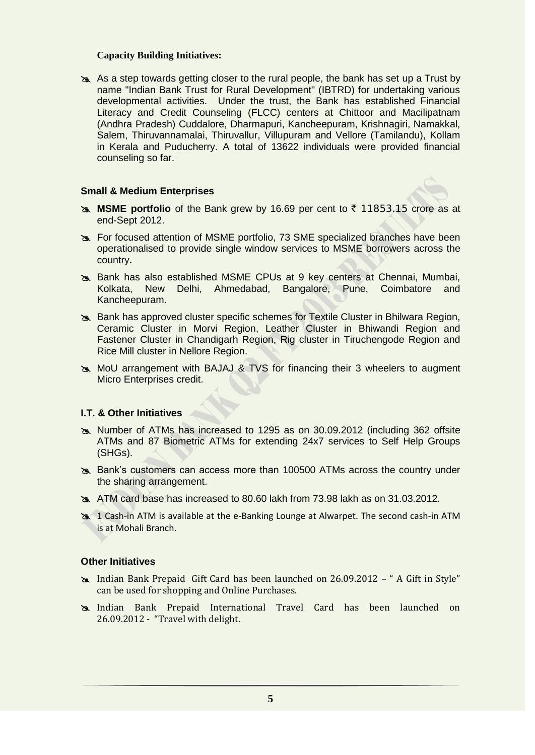## **Capacity Building Initiatives:**

As a step towards getting closer to the rural people, the bank has set up a Trust by name "Indian Bank Trust for Rural Development'' (IBTRD) for undertaking various developmental activities. Under the trust, the Bank has established Financial Literacy and Credit Counseling (FLCC) centers at Chittoor and Macilipatnam (Andhra Pradesh) Cuddalore, Dharmapuri, Kancheepuram, Krishnagiri, Namakkal, Salem, Thiruvannamalai, Thiruvallur, Villupuram and Vellore (Tamilandu), Kollam in Kerala and Puducherry. A total of 13622 individuals were provided financial counseling so far.

#### **Small & Medium Enterprises**

- **MSME portfolio** of the Bank grew by 16.69 per cent to ₹ 11853.15 crore as at end-Sept 2012.
- For focused attention of MSME portfolio, 73 SME specialized branches have been operationalised to provide single window services to MSME borrowers across the country**.**
- Bank has also established MSME CPUs at 9 key centers at Chennai, Mumbai, Kolkata, New Delhi, Ahmedabad, Bangalore, Pune, Coimbatore and Kancheepuram.
- Bank has approved cluster specific schemes for Textile Cluster in Bhilwara Region, Ceramic Cluster in Morvi Region, Leather Cluster in Bhiwandi Region and Fastener Cluster in Chandigarh Region, Rig cluster in Tiruchengode Region and Rice Mill cluster in Nellore Region.
- MoU arrangement with BAJAJ & TVS for financing their 3 wheelers to augment Micro Enterprises credit.

## **I.T. & Other Initiatives**

- Number of ATMs has increased to 1295 as on 30.09.2012 (including 362 offsite ATMs and 87 Biometric ATMs for extending 24x7 services to Self Help Groups (SHGs).
- Bank's customers can access more than 100500 ATMs across the country under the sharing arrangement.
- ATM card base has increased to 80.60 lakh from 73.98 lakh as on 31.03.2012.
- 1 Cash-in ATM is available at the e-Banking Lounge at Alwarpet. The second cash-in ATM is at Mohali Branch.

## **Other Initiatives**

- Indian Bank Prepaid Gift Card has been launched on 26.09.2012 " A Gift in Style" can be used for shopping and Online Purchases.
- Indian Bank Prepaid International Travel Card has been launched on 26.09.2012 - "Travel with delight.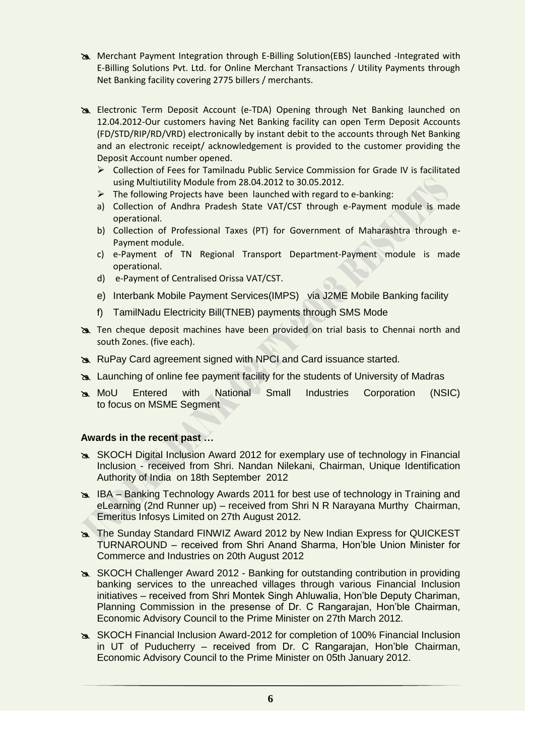- Merchant Payment Integration through E-Billing Solution(EBS) launched -Integrated with E-Billing Solutions Pvt. Ltd. for Online Merchant Transactions / Utility Payments through Net Banking facility covering 2775 billers / merchants.
- Electronic Term Deposit Account (e-TDA) Opening through Net Banking launched on 12.04.2012-Our customers having Net Banking facility can open Term Deposit Accounts (FD/STD/RIP/RD/VRD) electronically by instant debit to the accounts through Net Banking and an electronic receipt/ acknowledgement is provided to the customer providing the Deposit Account number opened.
	- Collection of Fees for Tamilnadu Public Service Commission for Grade IV is facilitated using Multiutility Module from 28.04.2012 to 30.05.2012.
	- $\triangleright$  The following Projects have been launched with regard to e-banking:
	- a) Collection of Andhra Pradesh State VAT/CST through e-Payment module is made operational.
	- b) Collection of Professional Taxes (PT) for Government of Maharashtra through e-Payment module.
	- c) e-Payment of TN Regional Transport Department-Payment module is made operational.
	- d) e-Payment of Centralised Orissa VAT/CST.
	- e) Interbank Mobile Payment Services(IMPS) via J2ME Mobile Banking facility
	- f) TamilNadu Electricity Bill(TNEB) payments through SMS Mode
- Ten cheque deposit machines have been provided on trial basis to Chennai north and south Zones. (five each).
- RuPay Card agreement signed with NPCI and Card issuance started.
- Launching of online fee payment facility for the students of University of Madras
- MoU Entered with National Small Industries Corporation (NSIC) to focus on MSME Segment

## **Awards in the recent past …**

- SKOCH Digital Inclusion Award 2012 for exemplary use of technology in Financial Inclusion - received from Shri. Nandan Nilekani, Chairman, Unique Identification Authority of India on 18th September 2012
- IBA Banking Technology Awards 2011 for best use of technology in Training and eLearning (2nd Runner up) – received from Shri N R Narayana Murthy Chairman, Emeritus Infosys Limited on 27th August 2012.
- The Sunday Standard FINWIZ Award 2012 by New Indian Express for QUICKEST TURNAROUND – received from Shri Anand Sharma, Hon'ble Union Minister for Commerce and Industries on 20th August 2012
- SKOCH Challenger Award 2012 Banking for outstanding contribution in providing banking services to the unreached villages through various Financial Inclusion initiatives – received from Shri Montek Singh Ahluwalia, Hon'ble Deputy Chariman, Planning Commission in the presense of Dr. C Rangarajan, Hon'ble Chairman, Economic Advisory Council to the Prime Minister on 27th March 2012.
- SKOCH Financial Inclusion Award-2012 for completion of 100% Financial Inclusion in UT of Puducherry – received from Dr. C Rangarajan, Hon'ble Chairman, Economic Advisory Council to the Prime Minister on 05th January 2012.